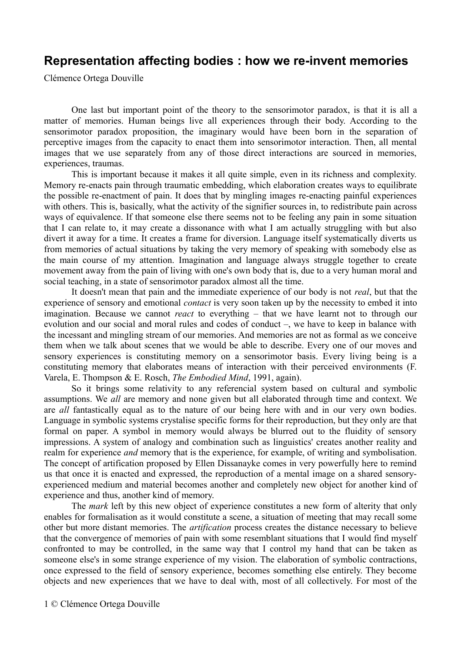## **Representation affecting bodies : how we re-invent memories**

Clémence Ortega Douville

One last but important point of the theory to the sensorimotor paradox, is that it is all a matter of memories. Human beings live all experiences through their body. According to the sensorimotor paradox proposition, the imaginary would have been born in the separation of perceptive images from the capacity to enact them into sensorimotor interaction. Then, all mental images that we use separately from any of those direct interactions are sourced in memories, experiences, traumas.

This is important because it makes it all quite simple, even in its richness and complexity. Memory re-enacts pain through traumatic embedding, which elaboration creates ways to equilibrate the possible re-enactment of pain. It does that by mingling images re-enacting painful experiences with others. This is, basically, what the activity of the signifier sources in, to redistribute pain across ways of equivalence. If that someone else there seems not to be feeling any pain in some situation that I can relate to, it may create a dissonance with what I am actually struggling with but also divert it away for a time. It creates a frame for diversion. Language itself systematically diverts us from memories of actual situations by taking the very memory of speaking with somebody else as the main course of my attention. Imagination and language always struggle together to create movement away from the pain of living with one's own body that is, due to a very human moral and social teaching, in a state of sensorimotor paradox almost all the time.

It doesn't mean that pain and the immediate experience of our body is not *real*, but that the experience of sensory and emotional *contact* is very soon taken up by the necessity to embed it into imagination. Because we cannot *react* to everything – that we have learnt not to through our evolution and our social and moral rules and codes of conduct –, we have to keep in balance with the incessant and mingling stream of our memories. And memories are not as formal as we conceive them when we talk about scenes that we would be able to describe. Every one of our moves and sensory experiences is constituting memory on a sensorimotor basis. Every living being is a constituting memory that elaborates means of interaction with their perceived environments (F. Varela, E. Thompson & E. Rosch, *The Embodied Mind*, 1991, again).

So it brings some relativity to any referencial system based on cultural and symbolic assumptions. We *all* are memory and none given but all elaborated through time and context. We are *all* fantastically equal as to the nature of our being here with and in our very own bodies. Language in symbolic systems crystalise specific forms for their reproduction, but they only are that formal on paper. A symbol in memory would always be blurred out to the fluidity of sensory impressions. A system of analogy and combination such as linguistics' creates another reality and realm for experience *and* memory that is the experience, for example, of writing and symbolisation. The concept of artification proposed by Ellen Dissanayke comes in very powerfully here to remind us that once it is enacted and expressed, the reproduction of a mental image on a shared sensoryexperienced medium and material becomes another and completely new object for another kind of experience and thus, another kind of memory.

The *mark* left by this new object of experience constitutes a new form of alterity that only enables for formalisation as it would constitute a scene, a situation of meeting that may recall some other but more distant memories. The *artification* process creates the distance necessary to believe that the convergence of memories of pain with some resemblant situations that I would find myself confronted to may be controlled, in the same way that I control my hand that can be taken as someone else's in some strange experience of my vision. The elaboration of symbolic contractions, once expressed to the field of sensory experience, becomes something else entirely. They become objects and new experiences that we have to deal with, most of all collectively. For most of the